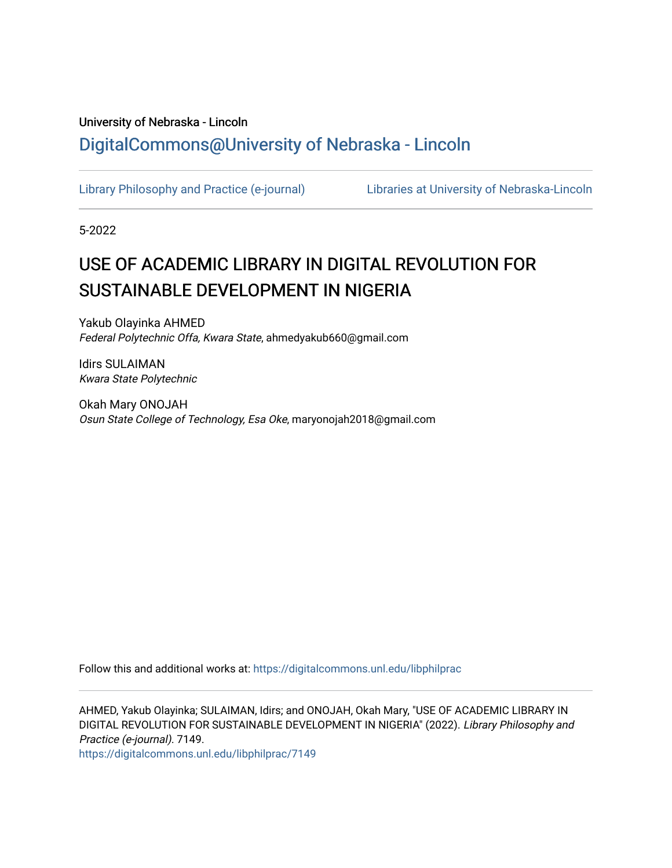# University of Nebraska - Lincoln [DigitalCommons@University of Nebraska - Lincoln](https://digitalcommons.unl.edu/)

[Library Philosophy and Practice \(e-journal\)](https://digitalcommons.unl.edu/libphilprac) [Libraries at University of Nebraska-Lincoln](https://digitalcommons.unl.edu/libraries) 

5-2022

# USE OF ACADEMIC LIBRARY IN DIGITAL REVOLUTION FOR SUSTAINABLE DEVELOPMENT IN NIGERIA

Yakub Olayinka AHMED Federal Polytechnic Offa, Kwara State, ahmedyakub660@gmail.com

Idirs SULAIMAN Kwara State Polytechnic

Okah Mary ONOJAH Osun State College of Technology, Esa Oke, maryonojah2018@gmail.com

Follow this and additional works at: [https://digitalcommons.unl.edu/libphilprac](https://digitalcommons.unl.edu/libphilprac?utm_source=digitalcommons.unl.edu%2Flibphilprac%2F7149&utm_medium=PDF&utm_campaign=PDFCoverPages) 

AHMED, Yakub Olayinka; SULAIMAN, Idirs; and ONOJAH, Okah Mary, "USE OF ACADEMIC LIBRARY IN DIGITAL REVOLUTION FOR SUSTAINABLE DEVELOPMENT IN NIGERIA" (2022). Library Philosophy and Practice (e-journal). 7149.

[https://digitalcommons.unl.edu/libphilprac/7149](https://digitalcommons.unl.edu/libphilprac/7149?utm_source=digitalcommons.unl.edu%2Flibphilprac%2F7149&utm_medium=PDF&utm_campaign=PDFCoverPages)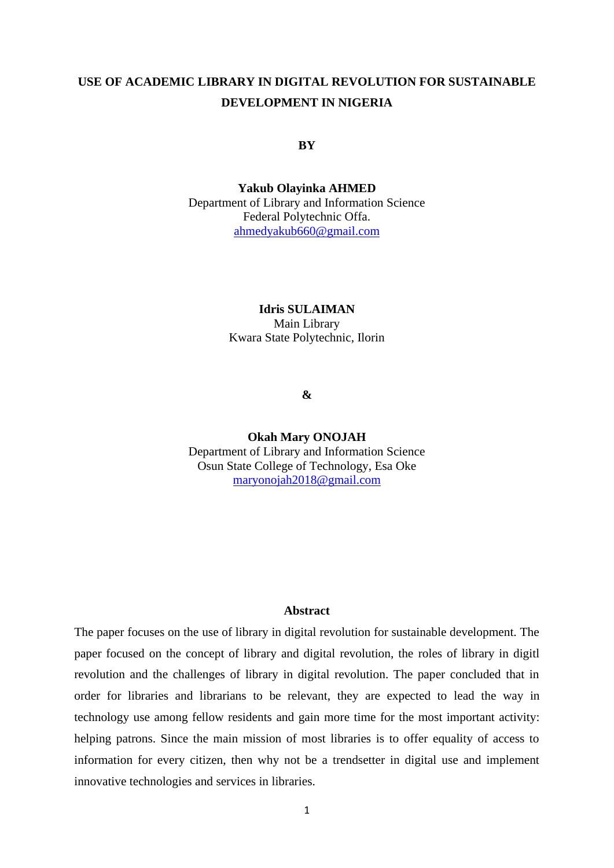# **USE OF ACADEMIC LIBRARY IN DIGITAL REVOLUTION FOR SUSTAINABLE DEVELOPMENT IN NIGERIA**

## **BY**

**Yakub Olayinka AHMED** Department of Library and Information Science Federal Polytechnic Offa. [ahmedyakub660@gmail.com](mailto:ahmedyakub660@gmail.com)

## **Idris SULAIMAN** Main Library Kwara State Polytechnic, Ilorin

#### **&**

**Okah Mary ONOJAH** Department of Library and Information Science Osun State College of Technology, Esa Oke [maryonojah2018@gmail.com](mailto:maryonojah2018@gmail.com)

#### **Abstract**

The paper focuses on the use of library in digital revolution for sustainable development. The paper focused on the concept of library and digital revolution, the roles of library in digitl revolution and the challenges of library in digital revolution. The paper concluded that in order for libraries and librarians to be relevant, they are expected to lead the way in technology use among fellow residents and gain more time for the most important activity: helping patrons. Since the main mission of most libraries is to offer equality of access to information for every citizen, then why not be a trendsetter in digital use and implement innovative technologies and services in libraries.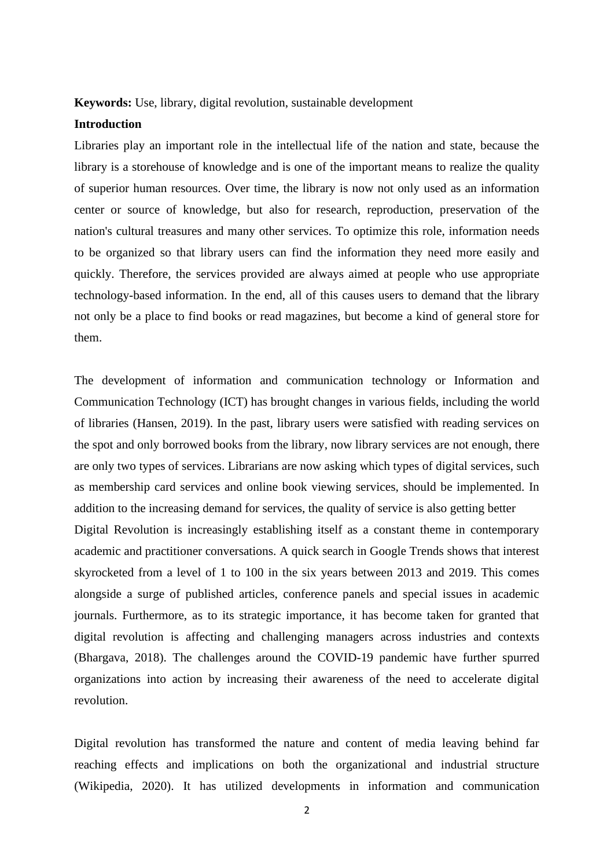#### **Keywords:** Use, library, digital revolution, sustainable development

#### **Introduction**

Libraries play an important role in the intellectual life of the nation and state, because the library is a storehouse of knowledge and is one of the important means to realize the quality of superior human resources. Over time, the library is now not only used as an information center or source of knowledge, but also for research, reproduction, preservation of the nation's cultural treasures and many other services. To optimize this role, information needs to be organized so that library users can find the information they need more easily and quickly. Therefore, the services provided are always aimed at people who use appropriate technology-based information. In the end, all of this causes users to demand that the library not only be a place to find books or read magazines, but become a kind of general store for them.

The development of information and communication technology or Information and Communication Technology (ICT) has brought changes in various fields, including the world of libraries (Hansen, 2019). In the past, library users were satisfied with reading services on the spot and only borrowed books from the library, now library services are not enough, there are only two types of services. Librarians are now asking which types of digital services, such as membership card services and online book viewing services, should be implemented. In addition to the increasing demand for services, the quality of service is also getting better Digital Revolution is increasingly establishing itself as a constant theme in contemporary academic and practitioner conversations. A quick search in Google Trends shows that interest skyrocketed from a level of 1 to 100 in the six years between 2013 and 2019. This comes alongside a surge of published articles, conference panels and special issues in academic journals. Furthermore, as to its strategic importance, it has become taken for granted that digital revolution is affecting and challenging managers across industries and contexts (Bhargava, 2018). The challenges around the COVID-19 pandemic have further spurred organizations into action by increasing their awareness of the need to accelerate digital revolution.

Digital revolution has transformed the nature and content of media leaving behind far reaching effects and implications on both the organizational and industrial structure (Wikipedia, 2020). It has utilized developments in information and communication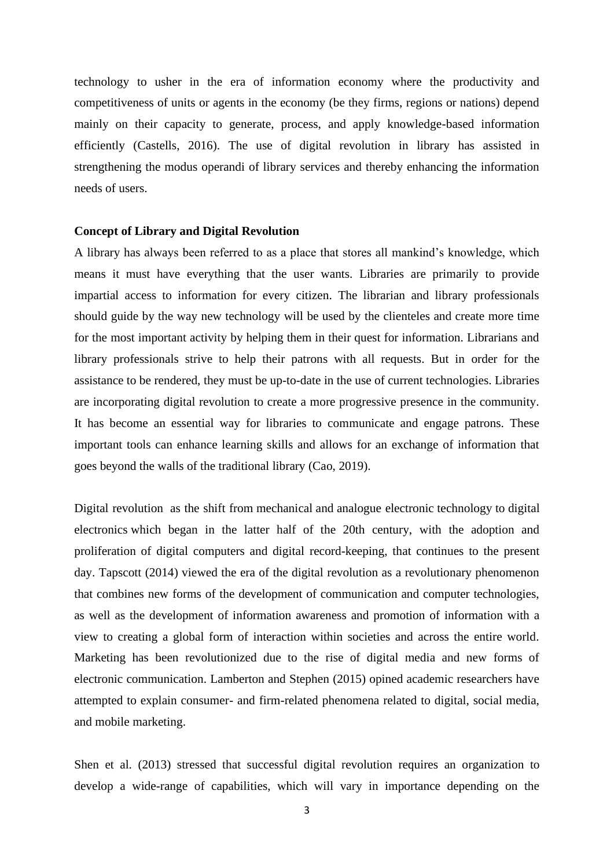technology to usher in the era of information economy where the productivity and competitiveness of units or agents in the economy (be they firms, regions or nations) depend mainly on their capacity to generate, process, and apply knowledge-based information efficiently (Castells, 2016). The use of digital revolution in library has assisted in strengthening the modus operandi of library services and thereby enhancing the information needs of users.

#### **Concept of Library and Digital Revolution**

A library has always been referred to as a place that stores all mankind's knowledge, which means it must have everything that the user wants. Libraries are primarily to provide impartial access to information for every citizen. The librarian and library professionals should guide by the way new technology will be used by the clienteles and create more time for the most important activity by helping them in their quest for information. Librarians and library professionals strive to help their patrons with all requests. But in order for the assistance to be rendered, they must be up-to-date in the use of current technologies. Libraries are incorporating digital revolution to create a more progressive presence in the community. It has become an essential way for libraries to communicate and engage patrons. These important tools can enhance learning skills and allows for an exchange of information that goes beyond the walls of the traditional library (Cao, 2019).

Digital revolution as the shift from [mechanical](https://en.wikipedia.org/wiki/Machine) and [analogue electronic](https://en.wikipedia.org/wiki/Analogue_electronics) [technology](https://en.wikipedia.org/wiki/Technology) to [digital](https://en.wikipedia.org/wiki/Digital_electronics)  [electronics](https://en.wikipedia.org/wiki/Digital_electronics) which began in the latter half of the 20th century, with the adoption and proliferation of digital computers and digital record-keeping, that continues to the present day. Tapscott (2014) viewed the era of the digital revolution as a revolutionary phenomenon that combines new forms of the development of communication and computer technologies, as well as the development of information awareness and promotion of information with a view to creating a global form of interaction within societies and across the entire world. Marketing has been revolutionized due to the rise of digital media and new forms of electronic communication. Lamberton and Stephen (2015) opined academic researchers have attempted to explain consumer- and firm-related phenomena related to digital, social media, and mobile marketing.

Shen et al. (2013) stressed that successful digital revolution requires an organization to develop a wide-range of capabilities, which will vary in importance depending on the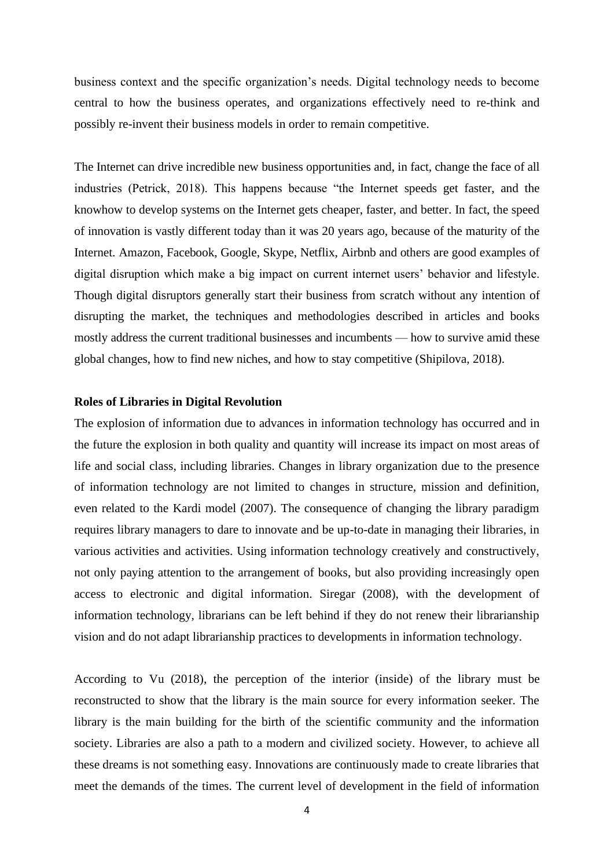business context and the specific organization's needs. Digital technology needs to become central to how the business operates, and organizations effectively need to re-think and possibly re-invent their business models in order to remain competitive.

The Internet can drive incredible new business opportunities and, in fact, change the face of all industries (Petrick, 2018). This happens because "the Internet speeds get faster, and the knowhow to develop systems on the Internet gets cheaper, faster, and better. In fact, the speed of innovation is vastly different today than it was 20 years ago, because of the maturity of the Internet. Amazon, Facebook, Google, Skype, Netflix, Airbnb and others are good examples of digital disruption which make a big impact on current internet users' behavior and lifestyle. Though digital disruptors generally start their business from scratch without any intention of disrupting the market, the techniques and methodologies described in articles and books mostly address the current traditional businesses and incumbents — how to survive amid these global changes, how to find new niches, and how to stay competitive [\(Shipilova,](https://medium.com/@nataship?source=post_page-----e6d1c0f9e491--------------------------------) 2018).

#### **Roles of Libraries in Digital Revolution**

The explosion of information due to advances in information technology has occurred and in the future the explosion in both quality and quantity will increase its impact on most areas of life and social class, including libraries. Changes in library organization due to the presence of information technology are not limited to changes in structure, mission and definition, even related to the Kardi model (2007). The consequence of changing the library paradigm requires library managers to dare to innovate and be up-to-date in managing their libraries, in various activities and activities. Using information technology creatively and constructively, not only paying attention to the arrangement of books, but also providing increasingly open access to electronic and digital information. Siregar (2008), with the development of information technology, librarians can be left behind if they do not renew their librarianship vision and do not adapt librarianship practices to developments in information technology.

According to Vu (2018), the perception of the interior (inside) of the library must be reconstructed to show that the library is the main source for every information seeker. The library is the main building for the birth of the scientific community and the information society. Libraries are also a path to a modern and civilized society. However, to achieve all these dreams is not something easy. Innovations are continuously made to create libraries that meet the demands of the times. The current level of development in the field of information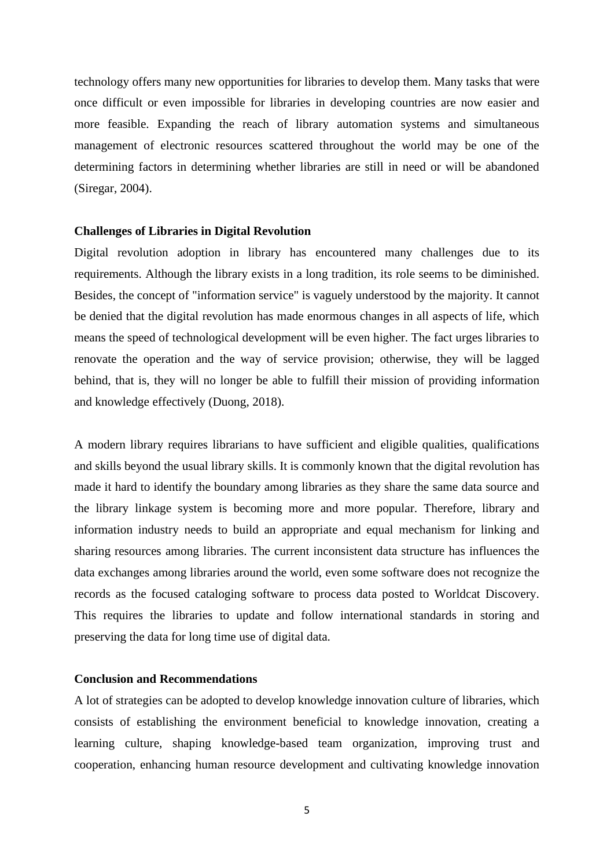technology offers many new opportunities for libraries to develop them. Many tasks that were once difficult or even impossible for libraries in developing countries are now easier and more feasible. Expanding the reach of library automation systems and simultaneous management of electronic resources scattered throughout the world may be one of the determining factors in determining whether libraries are still in need or will be abandoned (Siregar, 2004).

#### **Challenges of Libraries in Digital Revolution**

Digital revolution adoption in library has encountered many challenges due to its requirements. Although the library exists in a long tradition, its role seems to be diminished. Besides, the concept of "information service" is vaguely understood by the majority. It cannot be denied that the digital revolution has made enormous changes in all aspects of life, which means the speed of technological development will be even higher. The fact urges libraries to renovate the operation and the way of service provision; otherwise, they will be lagged behind, that is, they will no longer be able to fulfill their mission of providing information and knowledge effectively (Duong, 2018).

A modern library requires librarians to have sufficient and eligible qualities, qualifications and skills beyond the usual library skills. It is commonly known that the digital revolution has made it hard to identify the boundary among libraries as they share the same data source and the library linkage system is becoming more and more popular. Therefore, library and information industry needs to build an appropriate and equal mechanism for linking and sharing resources among libraries. The current inconsistent data structure has influences the data exchanges among libraries around the world, even some software does not recognize the records as the focused cataloging software to process data posted to Worldcat Discovery. This requires the libraries to update and follow international standards in storing and preserving the data for long time use of digital data.

### **Conclusion and Recommendations**

A lot of strategies can be adopted to develop knowledge innovation culture of libraries, which consists of establishing the environment beneficial to knowledge innovation, creating a learning culture, shaping knowledge-based team organization, improving trust and cooperation, enhancing human resource development and cultivating knowledge innovation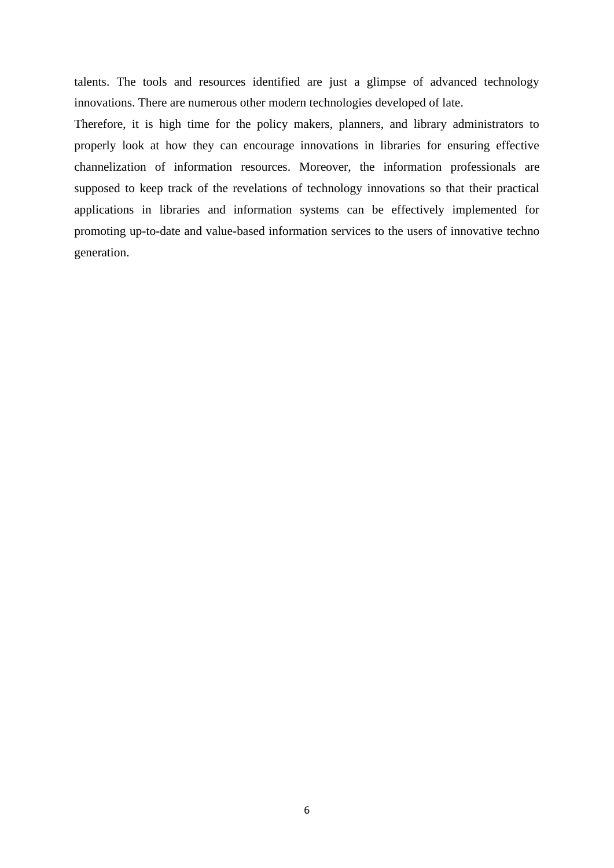talents. The tools and resources identified are just a glimpse of advanced technology innovations. There are numerous other modern technologies developed of late.

Therefore, it is high time for the policy makers, planners, and library administrators to properly look at how they can encourage innovations in libraries for ensuring effective channelization of information resources. Moreover, the information professionals are supposed to keep track of the revelations of technology innovations so that their practical applications in libraries and information systems can be effectively implemented for promoting up-to-date and value-based information services to the users of innovative techno generation.